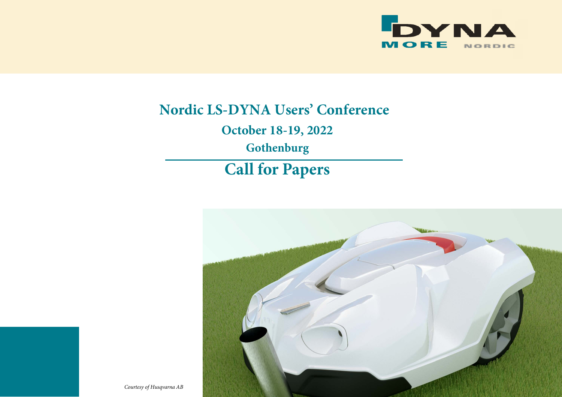

# **Nordic LS-DYNA Users' Conference**

**October 18-19, 2022**

**Gothenburg**

## **Call for Papers**



*Courtesy of Husqvarna AB*